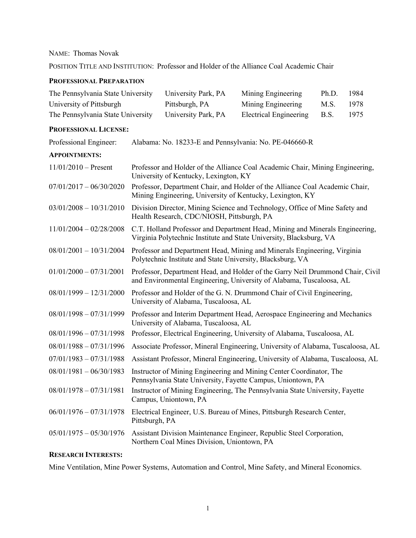# NAME:Thomas Novak

POSITION TITLE AND INSTITUTION: Professor and Holder of the Alliance Coal Academic Chair

### **PROFESSIONAL PREPARATION**

| The Pennsylvania State University | University Park, PA | Mining Engineering          | Ph.D. | 1984 |
|-----------------------------------|---------------------|-----------------------------|-------|------|
| University of Pittsburgh          | Pittsburgh, PA      | Mining Engineering          | M.S.  | 1978 |
| The Pennsylvania State University | University Park, PA | Electrical Engineering B.S. |       | 1975 |

### **PROFESSIONAL LICENSE:**

| Professional Engineer:    | Alabama: No. 18233-E and Pennsylvania: No. PE-046660-R                                                                                                 |
|---------------------------|--------------------------------------------------------------------------------------------------------------------------------------------------------|
| <b>APPOINTMENTS:</b>      |                                                                                                                                                        |
| $11/01/2010$ – Present    | Professor and Holder of the Alliance Coal Academic Chair, Mining Engineering,<br>University of Kentucky, Lexington, KY                                 |
| $07/01/2017 - 06/30/2020$ | Professor, Department Chair, and Holder of the Alliance Coal Academic Chair,<br>Mining Engineering, University of Kentucky, Lexington, KY              |
| $03/01/2008 - 10/31/2010$ | Division Director, Mining Science and Technology, Office of Mine Safety and<br>Health Research, CDC/NIOSH, Pittsburgh, PA                              |
| $11/01/2004 - 02/28/2008$ | C.T. Holland Professor and Department Head, Mining and Minerals Engineering,<br>Virginia Polytechnic Institute and State University, Blacksburg, VA    |
| $08/01/2001 - 10/31/2004$ | Professor and Department Head, Mining and Minerals Engineering, Virginia<br>Polytechnic Institute and State University, Blacksburg, VA                 |
| $01/01/2000 - 07/31/2001$ | Professor, Department Head, and Holder of the Garry Neil Drummond Chair, Civil<br>and Environmental Engineering, University of Alabama, Tuscaloosa, AL |
| $08/01/1999 - 12/31/2000$ | Professor and Holder of the G. N. Drummond Chair of Civil Engineering,<br>University of Alabama, Tuscaloosa, AL                                        |
| $08/01/1998 - 07/31/1999$ | Professor and Interim Department Head, Aerospace Engineering and Mechanics<br>University of Alabama, Tuscaloosa, AL                                    |
| $08/01/1996 - 07/31/1998$ | Professor, Electrical Engineering, University of Alabama, Tuscaloosa, AL                                                                               |
| $08/01/1988 - 07/31/1996$ | Associate Professor, Mineral Engineering, University of Alabama, Tuscaloosa, AL                                                                        |
| $07/01/1983 - 07/31/1988$ | Assistant Professor, Mineral Engineering, University of Alabama, Tuscaloosa, AL                                                                        |
| $08/01/1981 - 06/30/1983$ | Instructor of Mining Engineering and Mining Center Coordinator, The<br>Pennsylvania State University, Fayette Campus, Uniontown, PA                    |
| $08/01/1978 - 07/31/1981$ | Instructor of Mining Engineering, The Pennsylvania State University, Fayette<br>Campus, Uniontown, PA                                                  |
| $06/01/1976 - 07/31/1978$ | Electrical Engineer, U.S. Bureau of Mines, Pittsburgh Research Center,<br>Pittsburgh, PA                                                               |
| $05/01/1975 - 05/30/1976$ | Assistant Division Maintenance Engineer, Republic Steel Corporation,<br>Northern Coal Mines Division, Uniontown, PA                                    |

# **RESEARCH INTERESTS:**

Mine Ventilation, Mine Power Systems, Automation and Control, Mine Safety, and Mineral Economics.